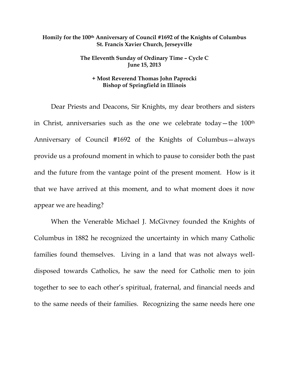## **Homily for the 100th Anniversary of Council #1692 of the Knights of Columbus St. Francis Xavier Church, Jerseyville**

## **The Eleventh Sunday of Ordinary Time – Cycle C June 15, 2013**

## **+ Most Reverend Thomas John Paprocki Bishop of Springfield in Illinois**

 Dear Priests and Deacons, Sir Knights, my dear brothers and sisters in Christ, anniversaries such as the one we celebrate today—the 100th Anniversary of Council #1692 of the Knights of Columbus—always provide us a profound moment in which to pause to consider both the past and the future from the vantage point of the present moment. How is it that we have arrived at this moment, and to what moment does it now appear we are heading?

 When the Venerable Michael J. McGivney founded the Knights of Columbus in 1882 he recognized the uncertainty in which many Catholic families found themselves. Living in a land that was not always welldisposed towards Catholics, he saw the need for Catholic men to join together to see to each other's spiritual, fraternal, and financial needs and to the same needs of their families. Recognizing the same needs here one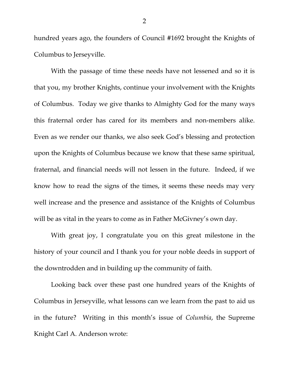hundred years ago, the founders of Council #1692 brought the Knights of Columbus to Jerseyville.

 With the passage of time these needs have not lessened and so it is that you, my brother Knights, continue your involvement with the Knights of Columbus. Today we give thanks to Almighty God for the many ways this fraternal order has cared for its members and non-members alike. Even as we render our thanks, we also seek God's blessing and protection upon the Knights of Columbus because we know that these same spiritual, fraternal, and financial needs will not lessen in the future. Indeed, if we know how to read the signs of the times, it seems these needs may very well increase and the presence and assistance of the Knights of Columbus will be as vital in the years to come as in Father McGivney's own day.

 With great joy, I congratulate you on this great milestone in the history of your council and I thank you for your noble deeds in support of the downtrodden and in building up the community of faith.

 Looking back over these past one hundred years of the Knights of Columbus in Jerseyville, what lessons can we learn from the past to aid us in the future? Writing in this month's issue of *Columbia*, the Supreme Knight Carl A. Anderson wrote: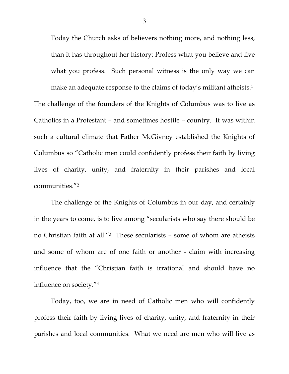Today the Church asks of believers nothing more, and nothing less, than it has throughout her history: Profess what you believe and live what you profess. Such personal witness is the only way we can make an adequate response to the claims of today's militant atheists.<sup>1</sup> The challenge of the founders of the Knights of Columbus was to live as Catholics in a Protestant – and sometimes hostile – country. It was within such a cultural climate that Father McGivney established the Knights of Columbus so "Catholic men could confidently profess their faith by living lives of charity, unity, and fraternity in their parishes and local communities."2

 The challenge of the Knights of Columbus in our day, and certainly in the years to come, is to live among "secularists who say there should be no Christian faith at all."3 These secularists – some of whom are atheists and some of whom are of one faith or another - claim with increasing influence that the "Christian faith is irrational and should have no influence on society."4

 Today, too, we are in need of Catholic men who will confidently profess their faith by living lives of charity, unity, and fraternity in their parishes and local communities. What we need are men who will live as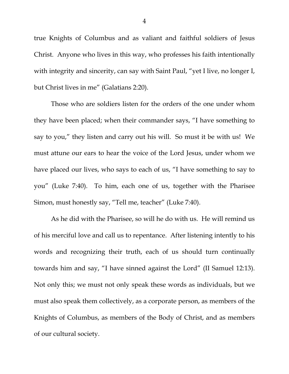true Knights of Columbus and as valiant and faithful soldiers of Jesus Christ. Anyone who lives in this way, who professes his faith intentionally with integrity and sincerity, can say with Saint Paul, "yet I live, no longer I, but Christ lives in me" (Galatians 2:20).

 Those who are soldiers listen for the orders of the one under whom they have been placed; when their commander says, "I have something to say to you," they listen and carry out his will. So must it be with us! We must attune our ears to hear the voice of the Lord Jesus, under whom we have placed our lives, who says to each of us, "I have something to say to you" (Luke 7:40). To him, each one of us, together with the Pharisee Simon, must honestly say, "Tell me, teacher" (Luke 7:40).

 As he did with the Pharisee, so will he do with us. He will remind us of his merciful love and call us to repentance. After listening intently to his words and recognizing their truth, each of us should turn continually towards him and say, "I have sinned against the Lord" (II Samuel 12:13). Not only this; we must not only speak these words as individuals, but we must also speak them collectively, as a corporate person, as members of the Knights of Columbus, as members of the Body of Christ, and as members of our cultural society.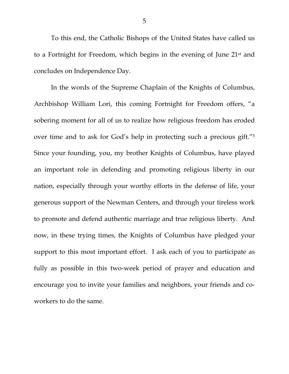To this end, the Catholic Bishops of the United States have called us to a Fortnight for Freedom, which begins in the evening of June 21st and concludes on Independence Day.

 In the words of the Supreme Chaplain of the Knights of Columbus, Archbishop William Lori, this coming Fortnight for Freedom offers, "a sobering moment for all of us to realize how religious freedom has eroded over time and to ask for God's help in protecting such a precious gift."5 Since your founding, you, my brother Knights of Columbus, have played an important role in defending and promoting religious liberty in our nation, especially through your worthy efforts in the defense of life, your generous support of the Newman Centers, and through your tireless work to promote and defend authentic marriage and true religious liberty. And now, in these trying times, the Knights of Columbus have pledged your support to this most important effort. I ask each of you to participate as fully as possible in this two-week period of prayer and education and encourage you to invite your families and neighbors, your friends and coworkers to do the same.